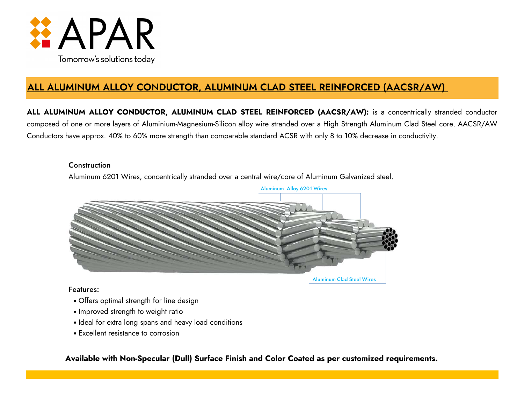

# **ALL ALUMINUM ALLOY CONDUCTOR, ALUMINUM CLAD STEEL REINFORCED (AACSR/AW)**

**ALL ALUMINUM ALLOY CONDUCTOR, ALUMINUM CLAD STEEL REINFORCED (AACSR/AW):** is a concentrically stranded conductor composed of one or more layers of Aluminium-Magnesium-Silicon alloy wire stranded over a High Strength Aluminum Clad Steel core. AACSR/AW Conductors have approx. 40% to 60% more strength than comparable standard ACSR with only 8 to 10% decrease in conductivity.

### **Construction**

Aluminum 6201 Wires, concentrically stranded over a central wire/core of Aluminum Galvanized steel.



## Features:

- Offers optimal strength for line design
- Improved strength to weight ratio
- Ideal for extra long spans and heavy load conditions
- Excellent resistance to corrosion

**Available with Non-Specular (Dull) Surface Finish and Color Coated as per customized requirements.**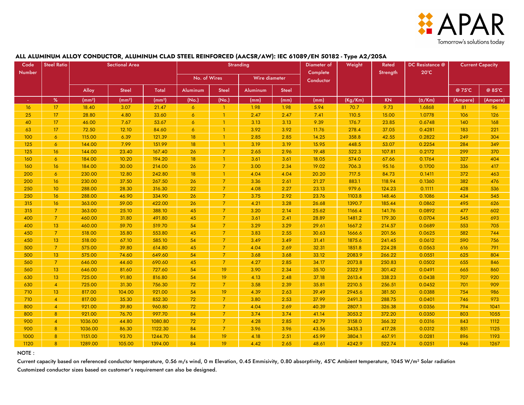

#### **ALL ALUMINUM ALLOY CONDUCTOR, ALUMINUM CLAD STEEL REINFORCED (AACSR/AW): IEC 61089/EN 50182 - Type A2/20SA**

| Code   | <b>Steel Ratio</b><br><b>Sectional Area</b> |         |              | Stranding |                 |                |                 | Diameter of  | Weight                | Rated   | DC Resistance @ | <b>Current Capacity</b> |          |          |
|--------|---------------------------------------------|---------|--------------|-----------|-----------------|----------------|-----------------|--------------|-----------------------|---------|-----------------|-------------------------|----------|----------|
| Number |                                             |         |              |           | No. of Wires    |                | Wire diameter   |              | Complete<br>Conductor |         | Strength        | $20^{\circ}$ C          |          |          |
|        |                                             |         |              | Total     |                 |                |                 |              |                       |         |                 |                         | @ 75°C   | @ 85°C   |
|        |                                             | Alloy   | <b>Steel</b> |           | <b>Aluminum</b> | <b>Steel</b>   | <b>Aluminum</b> | <b>Steel</b> |                       |         |                 |                         |          |          |
|        | %                                           | (mm²)   | (mm²)        | (mm²)     | (No.)           | (No.)          | (mm)            | (mm)         | (mm)                  | (Kg/Km) | <b>KN</b>       | $(\Omega/Km)$           | (Ampere) | (Ampere) |
| 16     | 17 <sup>2</sup>                             | 18.40   | 3.07         | 21.47     | 6               | $\mathbf{1}$   | 1.98            | 1.98         | 5.94                  | 70.7    | 9.73            | 1.6868                  | 81       | 96       |
| 25     | 17                                          | 28.80   | 4.80         | 33.60     | $\overline{6}$  | $\overline{1}$ | 2.47            | 2.47         | 7.41                  | 110.5   | 15.00           | 1.0778                  | 106      | 126      |
| 40     | 17 <sup>2</sup>                             | 46.00   | 7.67         | 53.67     | $\overline{6}$  | $\overline{1}$ | 3.13            | 3.13         | 9.39                  | 176.7   | 23.85           | 0.6748                  | 140      | 168      |
| 63     | 17 <sup>2</sup>                             | 72.50   | 12.10        | 84.60     | $\overline{6}$  | $\overline{1}$ | 3.92            | 3.92         | 11.76                 | 278.4   | 37.05           | 0.4281                  | 183      | 221      |
| 100    | $\overline{6}$                              | 115.00  | 6.39         | 121.39    | 18              | $\overline{1}$ | 2.85            | 2.85         | 14.25                 | 358.8   | 42.55           | 0.2822                  | 249      | 304      |
| 125    | $\epsilon$                                  | 144.00  | 7.99         | 151.99    | 18              | $\mathbf{1}$   | 3.19            | 3.19         | 15.95                 | 448.5   | 53.07           | 0.2254                  | 284      | 349      |
| 125    | 16                                          | 144.00  | 23.40        | 167.40    | 26              | $\overline{7}$ | 2.65            | 2.96         | 19.48                 | 522.3   | 107.81          | 0.2172                  | 299      | 370      |
| 160    | $\ddot{\delta}$                             | 184.00  | 10.20        | 194.20    | 18              | $\overline{1}$ | 3.61            | 3.61         | 18.05                 | 574.0   | 67.66           | 0.1764                  | 327      | 404      |
| 160    | 16                                          | 184.00  | 30.00        | 214.00    | 26              | $\overline{7}$ | 3.00            | 2.34         | 19.02                 | 706.3   | 95.16           | 0.1700                  | 336      | 417      |
| 200    | $\ddot{\delta}$                             | 230.00  | 12.80        | 242.80    | 18              | $\overline{1}$ | 4.04            | 4.04         | 20.20                 | 717.5   | 84.73           | 0.1411                  | 372      | 463      |
| 200    | 16                                          | 230.00  | 37.50        | 267.50    | 26              | $\overline{7}$ | 3.36            | 2.61         | 21.27                 | 883.1   | 118.94          | 0.1360                  | 382      | 476      |
| 250    | 10 <sup>°</sup>                             | 288.00  | 28.30        | 316.30    | 22              | $\overline{7}$ | 4.08            | 2.27         | 23.13                 | 979.6   | 124.23          | 0.1111                  | 428      | 536      |
| 250    | 16                                          | 288.00  | 46.90        | 334.90    | 26              | $\overline{7}$ | 3.75            | 2.92         | 23.76                 | 1103.8  | 148.46          | 0.1086                  | 434      | 545      |
| 315    | 16                                          | 363.00  | 59.00        | 422.00    | 26              | $\overline{7}$ | 4.21            | 3.28         | 26.68                 | 1390.7  | 185.44          | 0.0862                  | 495      | 626      |
| 315    | $7^{\circ}$                                 | 363.00  | 25.10        | 388.10    | 45              | $\overline{7}$ | 3.20            | 2.14         | 25.62                 | 1166.4  | 141.76          | 0.0892                  | 477      | 602      |
| 400    | $\mathcal{I}$                               | 460.00  | 31.80        | 491.80    | 45              | $\overline{7}$ | 3.61            | 2.41         | 28.89                 | 1481.2  | 179.30          | 0.0704                  | 545      | 693      |
| 400    | 13 <sup>°</sup>                             | 460.00  | 59.70        | 519.70    | 54              | $\overline{7}$ | 3.29            | 3.29         | 29.61                 | 1667.2  | 214.57          | 0.0689                  | 553      | 705      |
| 450    | $7^{\circ}$                                 | 518.00  | 35.80        | 553.80    | 45              | $\overline{7}$ | 3.83            | 2.55         | 30.63                 | 1666.6  | 201.56          | 0.0625                  | 582      | 744      |
| 450    | 13 <sup>°</sup>                             | 518.00  | 67.10        | 585.10    | 54              | $\overline{7}$ | 3.49            | 3.49         | 31.41                 | 1875.6  | 241.45          | 0.0612                  | 590      | 756      |
| 500    | $\overline{7}$                              | 575.00  | 39.80        | 614.80    | 45              | $\overline{7}$ | 4.04            | 2.69         | 32.31                 | 1851.8  | 224.28          | 0.0563                  | 616      | 791      |
| 500    | 13 <sup>°</sup>                             | 575.00  | 74.60        | 649.60    | 54              | $\overline{7}$ | 3.68            | 3.68         | 33.12                 | 2083.9  | 266.22          | 0.0551                  | 625      | 804      |
| 560    | $\overline{7}$                              | 646.00  | 44.60        | 690.60    | 45              | $\overline{7}$ | 4.27            | 2.85         | 34.17                 | 2073.8  | 250.83          | 0.0502                  | 655      | 846      |
| 560    | 13 <sup>°</sup>                             | 646.00  | 81.60        | 727.60    | 54              | 19             | 3.90            | 2.34         | 35.10                 | 2322.9  | 301.42          | 0.0491                  | 665      | 860      |
| 630    | 13                                          | 725.00  | 91.80        | 816.80    | 54              | 19             | 4.13            | 2.48         | 37.18                 | 2613.4  | 338.23          | 0.0438                  | 707      | 920      |
| 630    | $\overline{4}$                              | 725.00  | 31.30        | 756.30    | 72              | $\overline{7}$ | 3.58            | 2.39         | 35.81                 | 2210.5  | 256.51          | 0.0452                  | 701      | 909      |
| 710    | 13                                          | 817.00  | 104.00       | 921.00    | 54              | 19             | 4.39            | 2.63         | 39.49                 | 2945.6  | 381.50          | 0.0388                  | 754      | 986      |
| 710    | $\overline{4}$                              | 817.00  | 35.30        | 852.30    | 72              | $\overline{7}$ | 3.80            | 2.53         | 37.99                 | 2491.3  | 288.75          | 0.0401                  | 746      | 973      |
| 800    | $\overline{4}$                              | 921.00  | 39.80        | 960.80    | 72              | $\overline{7}$ | 4.04            | 2.69         | 40.39                 | 2807.1  | 326.38          | 0.0356                  | 794      | 1041     |
| 800    | 8 <sup>°</sup>                              | 921.00  | 76.70        | 997.70    | 84              | $\overline{7}$ | 3.74            | 3.74         | 41.14                 | 3053.2  | 372.20          | 0.0350                  | 803      | 1055     |
| 900    | $\overline{4}$                              | 1036.00 | 44.80        | 1080.80   | 72              | $\overline{7}$ | 4.28            | 2.85         | 42.79                 | 3158.0  | 366.32          | 0.0316                  | 843      | 1112     |
| 900    | 8                                           | 1036.00 | 86.30        | 1122.30   | 84              | $\overline{7}$ | 3.96            | 3.96         | 43.56                 | 3435.3  | 417.28          | 0.0312                  | 851      | 1125     |
| 1000   | 8                                           | 1151.00 | 93.70        | 1244.70   | 84              | 19             | 4.18            | 2.51         | 45.99                 | 3804.1  | 467.91          | 0.0281                  | 896      | 1193     |
| 1120   | 8                                           | 1289.00 | 105.00       | 1394.00   | 84              | 19             | 4.42            | 2.65         | 48.61                 | 4242.9  | 522.74          | 0.0251                  | 946      | 1267     |

NOTE :

Current capacity based on referenced conductor temperature, 0.56 m/s wind, 0 m Elevation, 0.45 Emmisivity, 0.80 absorptivity, 45°C Ambient temperature, 1045 W/m<sup>2</sup> Solar radiation Customized conductor sizes based on customer's requirement can also be designed.